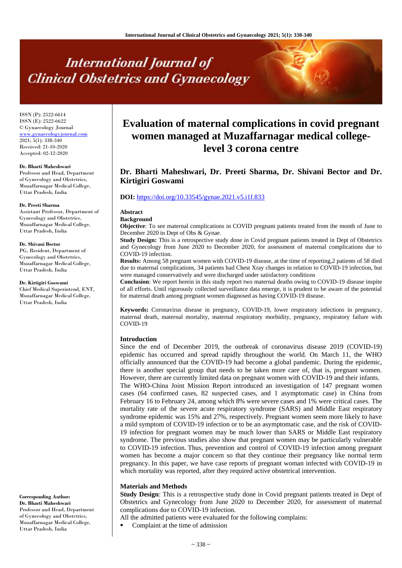# **International Journal of Clinical Obstetrics and Gynaecology**

ISSN (P): 2522-6614 ISSN (E): 2522-6622 © Gynaecology Journal <www.gynaecologyjournal.com> 2021; 5(1): 338-340 Received: 21-10-2020 Accepted: 02-12-2020

#### **Dr. Bharti Maheshwari**

Professor and Head, Department of Gynecology and Obstetrics, Muzaffarnagar Medical College, Uttar Pradesh, India

#### **Dr. Preeti Sharma**

Assistant Professor, Department of Gynecology and Obstetrics, Muzaffarnagar Medical College, Uttar Pradesh, India

#### **Dr. Shivani Bector**

PG, Resident, Department of Gynecology and Obstetrics, Muzaffarnagar Medical College, Uttar Pradesh, India

**Dr. Kirtigiri Goswami** Chief Medical Superintend, ENT, Muzaffarnagar Medical College, Uttar Pradesh, India

**Corresponding Author: Dr. Bharti Maheshwari** Professor and Head, Department of Gynecology and Obstetrics, Muzaffarnagar Medical College, Uttar Pradesh, India

# **Evaluation of maternal complications in covid pregnant women managed at Muzaffarnagar medical collegelevel 3 corona centre**

# **Dr. Bharti Maheshwari, Dr. Preeti Sharma, Dr. Shivani Bector and Dr. Kirtigiri Goswami**

#### **DOI:** <https://doi.org/10.33545/gynae.2021.v5.i1f.833>

# **Abstract**

# **Background**

**Objective**: To see maternal complications in COVID pregnant patients treated from the month of June to December 2020 in Dept of Obs & Gynae.

**Study Design:** This is a retrospective study done in Covid pregnant patients treated in Dept of Obstetrics and Gynecology from June 2020 to December 2020, for assessment of maternal complications due to COVID-19 infection.

**Results:** Among 58 pregnant women with COVID-19 disease, at the time of reporting,2 patients of 58 died due to maternal complications, 34 patients had Chest Xray changes in relation to COVID-19 infection, but were managed conservatively and were discharged under satisfactory conditions

**Conclusion**: We report herein in this study report two maternal deaths owing to COVID-19 disease inspite of all efforts. Until rigorously collected surveillance data emerge, it is prudent to be aware of the potential for maternal death among pregnant women diagnosed as having COVID-19 disease.

**Keywords:** Coronavirus disease in pregnancy, COVID-19, lower respiratory infections in pregnancy, maternal death, maternal mortality, maternal respiratory morbidity, pregnancy, respiratory failure with COVID-19

#### **Introduction**

Since the end of December 2019, the outbreak of coronavirus disease 2019 (COVID-19) epidemic has occurred and spread rapidly throughout the world. On March 11, the WHO officially announced that the COVID-19 had become a global pandemic. During the epidemic, there is another special group that needs to be taken more care of, that is, pregnant women. However, there are currently limited data on pregnant women with COVID-19 and their infants. The WHO-China Joint Mission Report introduced an investigation of 147 pregnant women cases (64 confirmed cases, 82 suspected cases, and 1 asymptomatic case) in China from February 16 to February 24, among which 8% were severe cases and 1% were critical cases. The mortality rate of the severe acute respiratory syndrome (SARS) and Middle East respiratory syndrome epidemic was 15% and 27%, respectively. Pregnant women seem more likely to have a mild symptom of COVID-19 infection or to be an asymptomatic case, and the risk of COVID-19 infection for pregnant women may be much lower than SARS or Middle East respiratory syndrome. The previous studies also show that pregnant women may be particularly vulnerable to COVID-19 infection. Thus, prevention and control of COVID-19 infection among pregnant women has become a major concern so that they continue their pregnancy like normal term pregnancy. In this paper, we have case reports of pregnant woman infected with COVID-19 in which mortality was reported, after they required active obstetrical intervention.

#### **Materials and Methods**

**Study Design**: This is a retrospective study done in Covid pregnant patients treated in Dept of Obstetrics and Gynecology from June 2020 to December 2020, for assessment of maternal complications due to COVID-19 infection.

All the admitted patients were evaluated for the following complains:

Complaint at the time of admission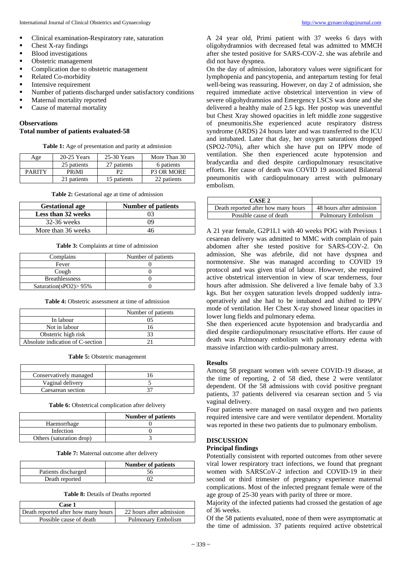- Clinical examination-Respiratory rate, saturation
- Chest X-ray findings
- Blood investigations
- **•** Obstetric management
- Complication due to obstetric management
- Related Co-morbidity
- **Intensive requirement**
- Number of patients discharged under satisfactory conditions
- Maternal mortality reported
- Cause of maternal mortality

# **Observations**

### **Total number of patients evaluated-58**

**Table 1:** Age of presentation and parity at admission

| Age           | $20-25$ Years             | $25-30$ Years | More Than 30      |
|---------------|---------------------------|---------------|-------------------|
|               | 25 patients               | 27 patients   | 6 patients        |
| <b>PARITY</b> | <b>PR</b> <sub>i</sub> MI | рŋ            | <b>P3 OR MORE</b> |
|               | 21 patients               | 15 patients   | 22 patients       |

**Table 2:** Gestational age at time of admission

| <b>Gestational age</b> | <b>Number of patients</b> |
|------------------------|---------------------------|
| Less than 32 weeks     | 03                        |
| $32-36$ weeks          | ΩO                        |
| More than 36 weeks     | 46                        |

**Table 3:** Complaints at time of admission

| Complains                 | Number of patients |
|---------------------------|--------------------|
| Fever                     |                    |
| Cough                     |                    |
| <b>Breathlessness</b>     |                    |
| Saturation(sPO2) $> 95\%$ |                    |

**Table 4:** Obstetric assessment at time of admission

|                                  | Number of patients |
|----------------------------------|--------------------|
| In labour                        |                    |
| Not in labour                    |                    |
| Obstetric high risk              |                    |
| Absolute indication of C-section |                    |

**Table 5:** Obstetric management

| Conservatively managed |  |
|------------------------|--|
| Vaginal delivery       |  |
| Caesarean section      |  |

Table 6: Obstetrical complication after delivery

|                          | <b>Number of patients</b> |
|--------------------------|---------------------------|
| Haemorrhage              |                           |
| Infection                |                           |
| Others (saturation drop) |                           |

**Table 7:** Maternal outcome after delivery

|                     | Number of patients |
|---------------------|--------------------|
| Patients discharged |                    |
| Death reported      |                    |

**Table 8:** Details of Deaths reported

| Case 1                              |                          |
|-------------------------------------|--------------------------|
| Death reported after how many hours | 22 hours after admission |
| Possible cause of death             | Pulmonary Embolism       |

A 24 year old, Primi patient with 37 weeks 6 days with oligohydramnios with decreased fetal was admitted to MMCH after she tested positive for SARS-COV-2. she was afebrile and did not have dyspnea.

On the day of admission, laboratory values were significant for lymphopenia and pancytopenia, and antepartum testing for fetal well-being was reassuring. However, on day 2 of admission, she required immediate active obstetrical intervention in view of severe oligohydramnios and Emergency LSCS was done and she delivered a healthy male of 2.5 kgs. Her postop was uneventful but Chest Xray showed opacities in left middle zone suggestive of pneumonitis.She experienced acute respiratory distress syndrome (ARDS) 24 hours later and was transferred to the ICU and intubated. Later that day, her oxygen saturations dropped (SPO2-70%), after which she have put on IPPV mode of ventilation. She then experienced acute hypotension and bradycardia and died despite cardiopulmonary resuscitative efforts. Her cause of death was COVID 19 associated Bilateral pneumonitis with cardiopulmonary arrest with pulmonary embolism.

| CASE 2                              |                          |
|-------------------------------------|--------------------------|
| Death reported after how many hours | 48 hours after admission |
| Possible cause of death             | Pulmonary Embolism       |

A 21 year female, G2P1L1 with 40 weeks POG with Previous 1 cesarean delivery was admitted to MMC with complain of pain abdomen after she tested positive for SARS-COV-2. On admission, She was afebrile, did not have dyspnea and normotensive. She was managed according to COVID 19 protocol and was given trial of labour. However, she required active obstetrical intervention in view of scar tenderness, four hours after admission. She delivered a live female baby of 3.3 kgs. But her oxygen saturation levels dropped suddenly intraoperatively and she had to be intubated and shifted to IPPV mode of ventilation. Her Chest X-ray showed linear opacities in lower lung fields and pulmonary edema.

She then experienced acute hypotension and bradycardia and died despite cardiopulmonary resuscitative efforts. Her cause of death was Pulmonary embolism with pulmonary edema with massive infarction with cardio-pulmonary arrest.

#### **Results**

Among 58 pregnant women with severe COVID-19 disease, at the time of reporting, 2 of 58 died, these 2 were ventilator dependent. Of the 58 admissions with covid positive pregnant patients, 37 patients delivered via cesarean section and 5 via vaginal delivery.

Four patients were managed on nasal oxygen and two patients required intensive care and were ventilator dependent. Mortality was reported in these two patients due to pulmonary embolism.

#### **DISCUSSION**

#### **Principal findings**

Potentially consistent with reported outcomes from other severe viral lower respiratory tract infections, we found that pregnant women with SARSCoV-2 infection and COVID-19 in their second or third trimester of pregnancy experience maternal complications. Most of the infected pregnant female were of the age group of 25-30 years with parity of three or more.

Majority of the infected patients had crossed the gestation of age of 36 weeks.

Of the 58 patients evaluated, none of them were asymptomatic at the time of admission. 37 patients required active obstetrical